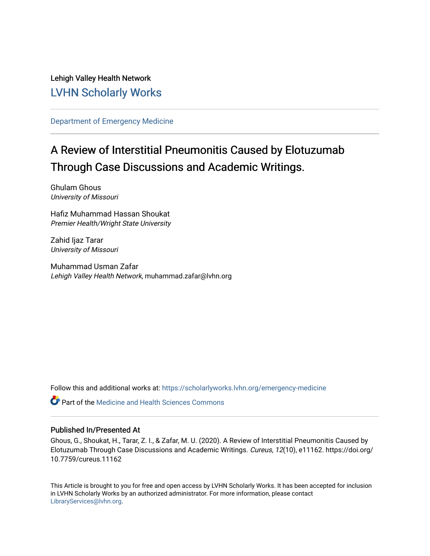Lehigh Valley Health Network [LVHN Scholarly Works](https://scholarlyworks.lvhn.org/)

[Department of Emergency Medicine](https://scholarlyworks.lvhn.org/emergency-medicine)

# A Review of Interstitial Pneumonitis Caused by Elotuzumab Through Case Discussions and Academic Writings.

Ghulam Ghous University of Missouri

Hafiz Muhammad Hassan Shoukat Premier Health/Wright State University

Zahid Ijaz Tarar University of Missouri

Muhammad Usman Zafar Lehigh Valley Health Network, muhammad.zafar@lvhn.org

Follow this and additional works at: [https://scholarlyworks.lvhn.org/emergency-medicine](https://scholarlyworks.lvhn.org/emergency-medicine?utm_source=scholarlyworks.lvhn.org%2Femergency-medicine%2F705&utm_medium=PDF&utm_campaign=PDFCoverPages) 

**C** Part of the Medicine and Health Sciences Commons

## Published In/Presented At

Ghous, G., Shoukat, H., Tarar, Z. I., & Zafar, M. U. (2020). A Review of Interstitial Pneumonitis Caused by Elotuzumab Through Case Discussions and Academic Writings. Cureus, 12(10), e11162. https://doi.org/ 10.7759/cureus.11162

This Article is brought to you for free and open access by LVHN Scholarly Works. It has been accepted for inclusion in LVHN Scholarly Works by an authorized administrator. For more information, please contact [LibraryServices@lvhn.org](mailto:LibraryServices@lvhn.org).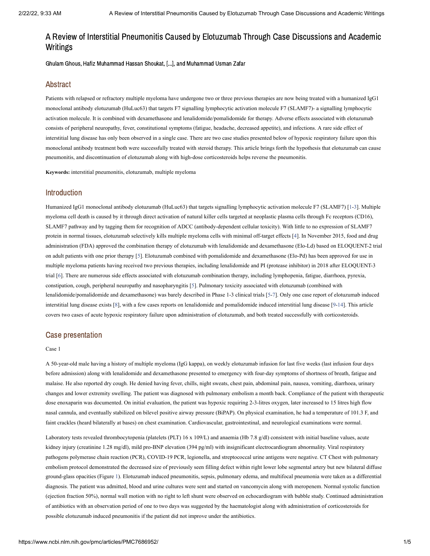## A Review of Interstitial Pneumonitis Caused by Elotuzumab Through Case Discussions and Academic Writings

Ghulam Ghous, Hafiz Muhammad Hassan Shoukat, [...], and Muhammad Usman Zafar

## Abstract

Patients with relapsed or refractory multiple myeloma have undergone two or three previous therapies are now being treated with a humanized IgG1 monoclonal antibody elotuzumab (HuLuc63) that targets F7 signalling lymphocytic activation molecule F7 (SLAMF7)- a signalling lymphocytic activation molecule. It is combined with dexamethasone and lenalidomide/pomalidomide for therapy. Adverse effects associated with elotuzumab consists of peripheral neuropathy, fever, constitutional symptoms (fatigue, headache, decreased appetite), and infections. A rare side effect of interstitial lung disease has only been observed in a single case. There are two case studies presented below of hypoxic respiratory failure upon this monoclonal antibody treatment both were successfully treated with steroid therapy. This article brings forth the hypothesis that elotuzumab can cause pneumonitis, and discontinuation of elotuzumab along with high-dose corticosteroids helps reverse the pneumonitis.

**Keywords:** interstitial pneumonitis, elotuzumab, multiple myeloma

## Introduction

Humanized IgG1 monoclonal antibody elotuzumab (HuLuc63) that targets signalling lymphocytic activation molecule F7 (SLAMF7) [[1](#page-5-0)[-3](#page-5-1)]. Multiple myeloma cell death is caused by it through direct activation of natural killer cells targeted at neoplastic plasma cells through Fc receptors (CD16), SLAMF7 pathway and by tagging them for recognition of ADCC (antibody-dependent cellular toxicity). With little to no expression of SLAMF7 protein in normal tissues, elotuzumab selectively kills multiple myeloma cells with minimal off-target effects [[4\]](#page-5-2). In November 2015, food and drug administration (FDA) approved the combination therapy of elotuzumab with lenalidomide and dexamethasone (Elo-Ld) based on ELOQUENT-2 trial on adult patients with one prior therapy [[5\]](#page-5-3). Elotuzumab combined with pomalidomide and dexamethasone (Elo-Pd) has been approved for use in multiple myeloma patients having received two previous therapies, including lenalidomide and PI (protease inhibitor) in 2018 after ELOQUENT-3 trial [\[6\]](#page-5-4). There are numerous side effects associated with elotuzumab combination therapy, including lymphopenia, fatigue, diarrhoea, pyrexia, constipation, cough, peripheral neuropathy and nasopharyngitis [[5](#page-5-3)]. Pulmonary toxicity associated with elotuzumab (combined with lenalidomide/pomalidomide and dexamethasone) was barely described in Phase 1-3 clinical trials [[5](#page-5-3)[-7](#page-5-5)]. Only one case report of elotuzumab induced interstitial lung disease exists [\[8\]](#page-5-6), with a few cases reports on lenalidomide and pomalidomide induced interstitial lung disease [\[9](#page-5-7)[-14\]](#page-5-8). This article covers two cases of acute hypoxic respiratory failure upon administration of elotuzumab, and both treated successfully with corticosteroids.

## Case presentation

#### Case 1

A 50-year-old male having a history of multiple myeloma (IgG kappa), on weekly elotuzumab infusion for last five weeks (last infusion four days before admission) along with lenalidomide and dexamethasone presented to emergency with four-day symptoms of shortness of breath, fatigue and malaise. He also reported dry cough. He denied having fever, chills, night sweats, chest pain, abdominal pain, nausea, vomiting, diarrhoea, urinary changes and lower extremity swelling. The patient was diagnosed with pulmonary embolism a month back. Compliance of the patient with therapeutic dose enoxaparin was documented. On initial evaluation, the patient was hypoxic requiring 2-3-litres oxygen, later increased to 15 litres high flow nasal cannula, and eventually stabilized on bilevel positive airway pressure (BiPAP). On physical examination, he had a temperature of 101.3 F, and faint crackles (heard bilaterally at bases) on chest examination. Cardiovascular, gastrointestinal, and neurological examinations were normal.

Laboratory tests revealed thrombocytopenia (platelets (PLT) 16 x 109/L) and anaemia (Hb 7.8 g/dl) consistent with initial baseline values, acute kidney injury (creatinine 1.28 mg/dl), mild pro-BNP elevation (394 pg/ml) with insignificant electrocardiogram abnormality. Viral respiratory pathogens polymerase chain reaction (PCR), COVID-19 PCR, legionella, and streptococcal urine antigens were negative. CT Chest with pulmonary embolism protocol demonstrated the decreased size of previously seen filling defect within right lower lobe segmental artery but new bilateral diffuse ground-glass opacities (Figure [1](https://www.ncbi.nlm.nih.gov/pmc/articles/PMC7686952/figure/FIG1/?report=objectonly)). Elotuzumab induced pneumonitis, sepsis, pulmonary edema, and multifocal pneumonia were taken as a differential diagnosis. The patient was admitted, blood and urine cultures were sent and started on vancomycin along with meropenem. Normal systolic function (ejection fraction 50%), normal wall motion with no right to left shunt were observed on echocardiogram with bubble study. Continued administration of antibiotics with an observation period of one to two days was suggested by the haematologist along with administration of corticosteroids for possible elotuzumab induced pneumonitis if the patient did not improve under the antibiotics.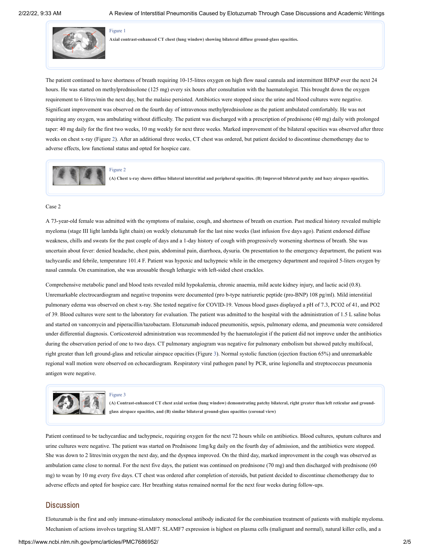

[Figure](https://www.ncbi.nlm.nih.gov/pmc/articles/PMC7686952/figure/FIG1/?report=objectonly) 1

**Axial contrast-enhanced CT chest (lung window) showing bilateral diffuse ground-glass opacities.**

The patient continued to have shortness of breath requiring 10-15-litres oxygen on high flow nasal cannula and intermittent BIPAP over the next 24 hours. He was started on methylprednisolone (125 mg) every six hours after consultation with the haematologist. This brought down the oxygen requirement to 6 litres/min the next day, but the malaise persisted. Antibiotics were stopped since the urine and blood cultures were negative. Significant improvement was observed on the fourth day of intravenous methylprednisolone as the patient ambulated comfortably. He was not requiring any oxygen, was ambulating without difficulty. The patient was discharged with a prescription of prednisone (40 mg) daily with prolonged taper: 40 mg daily for the first two weeks, 10 mg weekly for next three weeks. Marked improvement of the bilateral opacities was observed after three weeks on chest x-ray (Figure [2\)](https://www.ncbi.nlm.nih.gov/pmc/articles/PMC7686952/figure/FIG2/?report=objectonly). After an additional three weeks, CT chest was ordered, but patient decided to discontinue chemotherapy due to adverse effects, low functional status and opted for hospice care.



(A) Chest x-ray shows diffuse bilateral interstitial and peripheral opacities. (B) Improved bilateral patchy and hazy airspace opacities.

#### Case 2

A 73-year-old female was admitted with the symptoms of malaise, cough, and shortness of breath on exertion. Past medical history revealed multiple myeloma (stage III light lambda light chain) on weekly elotuzumab for the last nine weeks (last infusion five days ago). Patient endorsed diffuse weakness, chills and sweats for the past couple of days and a 1-day history of cough with progressively worsening shortness of breath. She was uncertain about fever: denied headache, chest pain, abdominal pain, diarrhoea, dysuria. On presentation to the emergency department, the patient was tachycardic and febrile, temperature 101.4 F. Patient was hypoxic and tachypneic while in the emergency department and required 5-liters oxygen by nasal cannula. On examination, she was arousable though lethargic with left-sided chest crackles.

Comprehensive metabolic panel and blood tests revealed mild hypokalemia, chronic anaemia, mild acute kidney injury, and lactic acid (0.8). Unremarkable electrocardiogram and negative troponins were documented (pro b-type natriuretic peptide (pro-BNP) 108 pg/ml). Mild interstitial pulmonary edema was observed on chest x-ray. She tested negative for COVID-19. Venous blood gases displayed a pH of 7.3, PCO2 of 41, and PO2 of 39. Blood cultures were sent to the laboratory for evaluation. The patient was admitted to the hospital with the administration of 1.5 L saline bolus and started on vancomycin and piperacillin/tazobactam. Elotuzumab induced pneumonitis, sepsis, pulmonary edema, and pneumonia were considered under differential diagnosis. Corticosteroid administration was recommended by the haematologist if the patient did not improve under the antibiotics during the observation period of one to two days. CT pulmonary angiogram was negative for pulmonary embolism but showed patchy multifocal, right greater than left ground-glass and reticular airspace opacities (Figure [3](https://www.ncbi.nlm.nih.gov/pmc/articles/PMC7686952/figure/FIG3/?report=objectonly)). Normal systolic function (ejection fraction 65%) and unremarkable regional wall motion were observed on echocardiogram. Respiratory viral pathogen panel by PCR, urine legionella and streptococcus pneumonia antigen were negative.



#### [Figure](https://www.ncbi.nlm.nih.gov/pmc/articles/PMC7686952/figure/FIG3/?report=objectonly) 3

(A) Contrast-enhanced CT chest axial section (lung window) demonstrating patchy bilateral, right greater than left reticular and ground**glass airspace opacities, and (B) similar bilateral ground-glass opacities (coronal view)**

Patient continued to be tachycardiac and tachypneic, requiring oxygen for the next 72 hours while on antibiotics. Blood cultures, sputum cultures and urine cultures were negative. The patient was started on Prednisone 1mg/kg daily on the fourth day of admission, and the antibiotics were stopped. She was down to 2 litres/min oxygen the next day, and the dyspnea improved. On the third day, marked improvement in the cough was observed as ambulation came close to normal. For the next five days, the patient was continued on prednisone (70 mg) and then discharged with prednisone (60 mg) to wean by 10 mg every five days. CT chest was ordered after completion of steroids, but patient decided to discontinue chemotherapy due to adverse effects and opted for hospice care. Her breathing status remained normal for the next four weeks during follow-ups.

## **Discussion**

Elotuzumab is the first and only immune-stimulatory monoclonal antibody indicated for the combination treatment of patients with multiple myeloma. Mechanism of actions involves targeting SLAMF7. SLAMF7 expression is highest on plasma cells (malignant and normal), natural killer cells, and a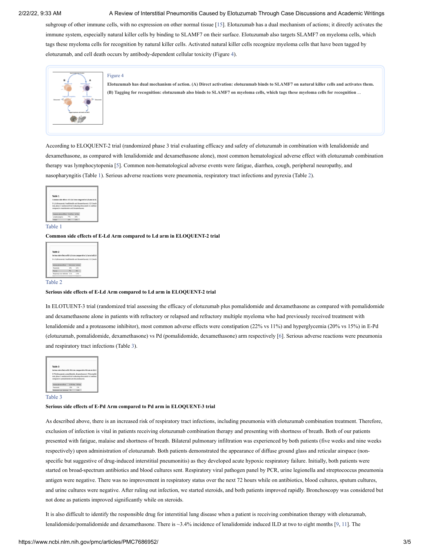#### 2/22/22, 9:33 AM A Review of Interstitial Pneumonitis Caused by Elotuzumab Through Case Discussions and Academic Writings

subgroup of other immune cells, with no expression on other normal tissue [\[15](#page-5-9)]. Elotuzumab has a dual mechanism of actions; it directly activates the immune system, especially natural killer cells by binding to SLAMF7 on their surface. Elotuzumab also targets SLAMF7 on myeloma cells, which tags these myeloma cells for recognition by natural killer cells. Activated natural killer cells recognize myeloma cells that have been tagged by elotuzumab, and cell death occurs by antibody-dependent cellular toxicity (Figure [4\)](https://www.ncbi.nlm.nih.gov/pmc/articles/PMC7686952/figure/FIG4/?report=objectonly).



[Figure](https://www.ncbi.nlm.nih.gov/pmc/articles/PMC7686952/figure/FIG4/?report=objectonly) 4

Elotuzumab has dual mechanism of action. (A) Direct activation: elotuzumab binds to SLAMF7 on natural killer cells and activates them. (B) Tagging for recognition: elotuzumab also binds to SLAMF7 on myeloma cells, which tags these myeloma cells for recognition ...

According to ELOQUENT-2 trial (randomized phase 3 trial evaluating efficacy and safety of elotuzumab in combination with lenalidomide and dexamethasone, as compared with lenalidomide and dexamethasone alone), most common hematological adverse effect with elotuzumab combination therapy was lymphocytopenia [[5](#page-5-3)]. Common non-hematological adverse events were fatigue, diarrhea, cough, peripheral neuropathy, and nasopharyngitis [\(Table](https://www.ncbi.nlm.nih.gov/pmc/articles/PMC7686952/table/TAB1/?report=objectonly) 1). Serious adverse reactions were pneumonia, respiratory tract infections and pyrexia [\(Table](https://www.ncbi.nlm.nih.gov/pmc/articles/PMC7686952/table/TAB2/?report=objectonly) 2).



#### [Table](https://www.ncbi.nlm.nih.gov/pmc/articles/PMC7686952/table/TAB1/?report=objectonly) 1

**Common side effects of E-Ld Arm compared to Ld arm in ELOQUENT-2 trial**

| Table 2                                                       |            |      |  |
|---------------------------------------------------------------|------------|------|--|
| Serious side effects of E-Ld Arm compared to Ld arm in ELO    |            |      |  |
|                                                               |            |      |  |
| E-Ld (elongumab, lenal)domide and desamethasone): LD (lenal): |            |      |  |
|                                                               |            |      |  |
|                                                               |            |      |  |
| Serious adverse effects.                                      | EddAm LdAm |      |  |
| Preumonia                                                     | 15%        | 11%  |  |
| Perents                                                       | $\sim$     | 5%   |  |
| Respiratory tract infection 3.1%                              |            | 1.3% |  |

#### [Table](https://www.ncbi.nlm.nih.gov/pmc/articles/PMC7686952/table/TAB2/?report=objectonly) 2

#### **Serious side effects of E-Ld Arm compared to Ld arm in ELOQUENT-2 trial**

In ELOTUENT-3 trial (randomized trial assessing the efficacy of elotuzumab plus pomalidomide and dexamethasone as compared with pomalidomide and dexamethasone alone in patients with refractory or relapsed and refractory multiple myeloma who had previously received treatment with lenalidomide and a proteasome inhibitor), most common adverse effects were constipation (22% vs 11%) and hyperglycemia (20% vs 15%) in E-Pd (elotuzumab, pomalidomide, dexamethasone) vs Pd (pomalidomide, dexamethasone) arm respectively [\[6](#page-5-4)]. Serious adverse reactions were pneumonia and respiratory tract infections [\(Table](https://www.ncbi.nlm.nih.gov/pmc/articles/PMC7686952/table/TAB3/?report=objectonly) 3).

| Table 3                                                                                                          |                  |     |  |
|------------------------------------------------------------------------------------------------------------------|------------------|-----|--|
| Serious side effects of E-Pd Arm compared to Pd arm in ELO                                                       |                  |     |  |
| E-Pd (elotuzumab, pomalidomide, dexamethasone): Pd (pomalido                                                     |                  |     |  |
| trial, phase 3 randomized trial evaluating elotuzumab in combinat<br>compared to pomalidomide and dexamethasone. |                  |     |  |
| Savious: advance effects                                                                                         | E.M.Lon. Pd.Lon. |     |  |
| Persenceia                                                                                                       | 13%              | 11% |  |

#### [Table](https://www.ncbi.nlm.nih.gov/pmc/articles/PMC7686952/table/TAB3/?report=objectonly) 3

#### **Serious side effects of E-Pd Arm compared to Pd arm in ELOQUENT-3 trial**

As described above, there is an increased risk of respiratory tract infections, including pneumonia with elotuzumab combination treatment. Therefore, exclusion of infection is vital in patients receiving elotuzumab combination therapy and presenting with shortness of breath. Both of our patients presented with fatigue, malaise and shortness of breath. Bilateral pulmonary infiltration was experienced by both patients (five weeks and nine weeks respectively) upon administration of elotuzumab. Both patients demonstrated the appearance of diffuse ground glass and reticular airspace (nonspecific but suggestive of drug-induced interstitial pneumonitis) as they developed acute hypoxic respiratory failure. Initially, both patients were started on broad-spectrum antibiotics and blood cultures sent. Respiratory viral pathogen panel by PCR, urine legionella and streptococcus pneumonia antigen were negative. There was no improvement in respiratory status over the next 72 hours while on antibiotics, blood cultures, sputum cultures, and urine cultures were negative. After ruling out infection, we started steroids, and both patients improved rapidly. Bronchoscopy was considered but not done as patients improved significantly while on steroids.

It is also difficult to identify the responsible drug for interstitial lung disease when a patient is receiving combination therapy with elotuzumab, lenalidomide/pomalidomide and dexamethasone. There is ~3.4% incidence of lenalidomide induced ILD at two to eight months [[9,](#page-5-7) [11\]](#page-5-10). The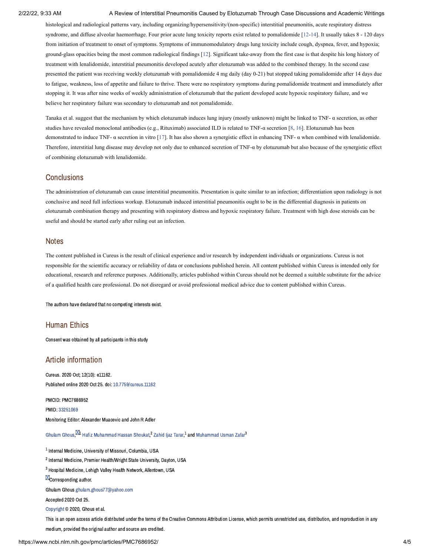#### 2/22/22, 9:33 AM A Review of Interstitial Pneumonitis Caused by Elotuzumab Through Case Discussions and Academic Writings

histological and radiological patterns vary, including organizing/hypersensitivity/(non-specific) interstitial pneumonitis, acute respiratory distress syndrome, and diffuse alveolar haemorrhage. Four prior acute lung toxicity reports exist related to pomalidomide [[12](#page-5-11)[-14](#page-5-8)]. It usually takes 8 - 120 days from initiation of treatment to onset of symptoms. Symptoms of immunomodulatory drugs lung toxicity include cough, dyspnea, fever, and hypoxia; ground-glass opacities being the most common radiological findings [\[12\]](#page-5-11). Significant take-away from the first case is that despite his long history of treatment with lenalidomide, interstitial pneumonitis developed acutely after elotuzumab was added to the combined therapy. In the second case presented the patient was receiving weekly elotuzumab with pomalidomide 4 mg daily (day 0-21) but stopped taking pomalidomide after 14 days due to fatigue, weakness, loss of appetite and failure to thrive. There were no respiratory symptoms during pomalidomide treatment and immediately after stopping it. It was after nine weeks of weekly administration of elotuzumab that the patient developed acute hypoxic respiratory failure, and we believe her respiratory failure was secondary to elotuzumab and not pomalidomide.

Tanaka et al. suggest that the mechanism by which elotuzumab induces lung injury (mostly unknown) might be linked to TNF- α secretion, as other studies have revealed monoclonal antibodies (e.g., Rituximab) associated ILD is related to TNF-α secretion [[8,](#page-5-6) [16\]](#page-5-12). Elotuzumab has been demonstrated to induce TNF- α secretion in vitro [\[17](#page-5-13)]. It has also shown a synergistic effect in enhancing TNF- α when combined with lenalidomide. Therefore, interstitial lung disease may develop not only due to enhanced secretion of TNF-α by elotuzumab but also because of the synergistic effect of combining elotuzumab with lenalidomide.

## **Conclusions**

The administration of elotuzumab can cause interstitial pneumonitis. Presentation is quite similar to an infection; differentiation upon radiology is not conclusive and need full infectious workup. Elotuzumab induced interstitial pneumonitis ought to be in the differential diagnosis in patients on elotuzumab combination therapy and presenting with respiratory distress and hypoxic respiratory failure. Treatment with high dose steroids can be useful and should be started early after ruling out an infection.

## **Notes**

The content published in Cureus is the result of clinical experience and/or research by independent individuals or organizations. Cureus is not responsible for the scientific accuracy or reliability of data or conclusions published herein. All content published within Cureus is intended only for educational, research and reference purposes. Additionally, articles published within Cureus should not be deemed a suitable substitute for the advice of a qualified health care professional. Do not disregard or avoid professional medical advice due to content published within Cureus.

The authors have declared that no competing interests exist.

## Human Ethics

Consent was obtained by all participants in this study

## Article information

Cureus. 2020 Oct; 12(10): e11162. Published online 2020 Oct 25. doi: [10.7759/cureus.11162](https://dx.doi.org/10.7759%2Fcureus.11162)

PMCID: PMC7686952 PMID: [33251069](https://www.ncbi.nlm.nih.gov/pubmed/33251069) Monitoring Editor: Alexander Muacevic and John R Adler

[Ghulam](https://www.ncbi.nlm.nih.gov/pubmed/?term=Ghous%20G%5BAuthor%5D&cauthor=true&cauthor_uid=33251069) Ghous  $^{\boxtimes 1}$  Hafiz [Muhammad](https://www.ncbi.nlm.nih.gov/pubmed/?term=Zafar%20MU%5BAuthor%5D&cauthor=true&cauthor_uid=33251069) Hassan Shoukat  $^2$  [Zahid](https://www.ncbi.nlm.nih.gov/pubmed/?term=Tarar%20ZI%5BAuthor%5D&cauthor=true&cauthor_uid=33251069) liaz Tarar. $^1$  and Muhammad Usman Zafar $^3$ 

 $^{\rm 1}$  Internal Medicine, University of Missouri, Columbia, USA

<sup>2</sup> Internal Medicine, Premier Health/Wright State University, Dayton, USA

 $^3$  Hospital Medicine, Lehigh Valley Health Network, Allentown, USA

**M**Corresponding author.

Ghulam Ghous [ghulam.ghous77@yahoo.com](mailto:dev@null)

Accepted 2020 Oct 25.

[Copyright](https://www.ncbi.nlm.nih.gov/pmc/about/copyright/) © 2020, Ghous et al.

This is an open access article distributed under the terms of the Creative Commons Attribution License, which permits unrestricted use, distribution, and reproduction in any medium, provided the original author and source are credited.